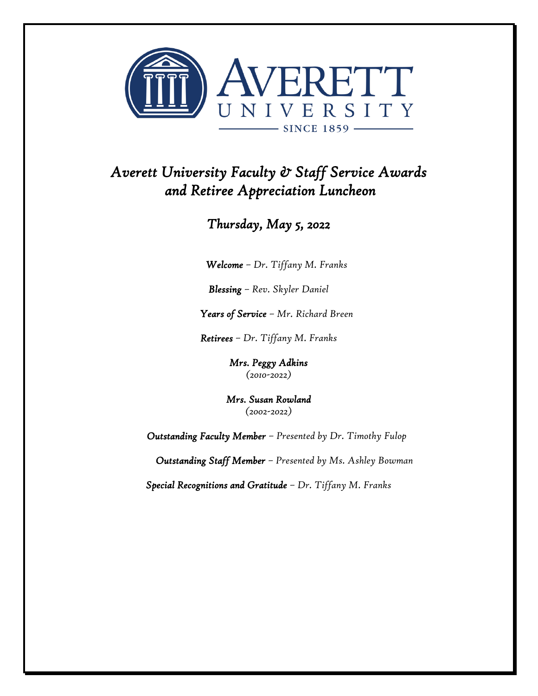

## *Averett University Faculty & Staff Service Awards and Retiree Appreciation Luncheon*

## *Thursday, May 5, 2022*

*Welcome – Dr. Tiffany M. Franks* 

*Blessing – Rev. Skyler Daniel*

*Years of Service – Mr. Richard Breen*

*Retirees – Dr. Tiffany M. Franks*

*Mrs. Peggy Adkins (2010-2022)*

*Mrs. Susan Rowland (2002-2022)*

*Outstanding Faculty Member – Presented by Dr. Timothy Fulop*

*Outstanding Staff Member – Presented by Ms. Ashley Bowman*

*Special Recognitions and Gratitude – Dr. Tiffany M. Franks*